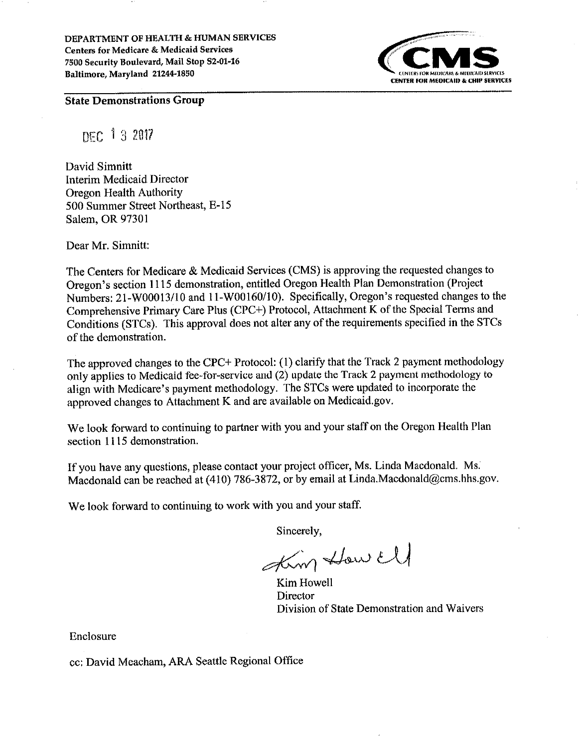DEPARTMENT OF HEALTH & HUMAN SERVICES **Centers for Medicare & Medicaid Services** 7500 Security Boulevard, Mail Stop S2-01-16 Baltimore, Maryland 21244-1850



**State Demonstrations Group** 

DEC 13 2017

David Simnitt Interim Medicaid Director **Oregon Health Authority** 500 Summer Street Northeast, E-15 Salem, OR 97301

Dear Mr. Simnitt:

The Centers for Medicare & Medicaid Services (CMS) is approving the requested changes to Oregon's section 1115 demonstration, entitled Oregon Health Plan Demonstration (Project Numbers: 21-W00013/10 and 11-W00160/10). Specifically, Oregon's requested changes to the Comprehensive Primary Care Plus (CPC+) Protocol, Attachment K of the Special Terms and Conditions (STCs). This approval does not alter any of the requirements specified in the STCs of the demonstration.

The approved changes to the CPC+ Protocol: (1) clarify that the Track 2 payment methodology only applies to Medicaid fee-for-service and (2) update the Track 2 payment methodology to align with Medicare's payment methodology. The STCs were updated to incorporate the approved changes to Attachment K and are available on Medicaid.gov.

We look forward to continuing to partner with you and your staff on the Oregon Health Plan section 1115 demonstration.

If you have any questions, please contact your project officer, Ms. Linda Macdonald. Ms. Macdonald can be reached at (410) 786-3872, or by email at Linda.Macdonald@cms.hhs.gov.

We look forward to continuing to work with you and your staff.

Sincerely.

Kim How Ell

Kim Howell Director Division of State Demonstration and Waivers

Enclosure

cc: David Meacham, ARA Seattle Regional Office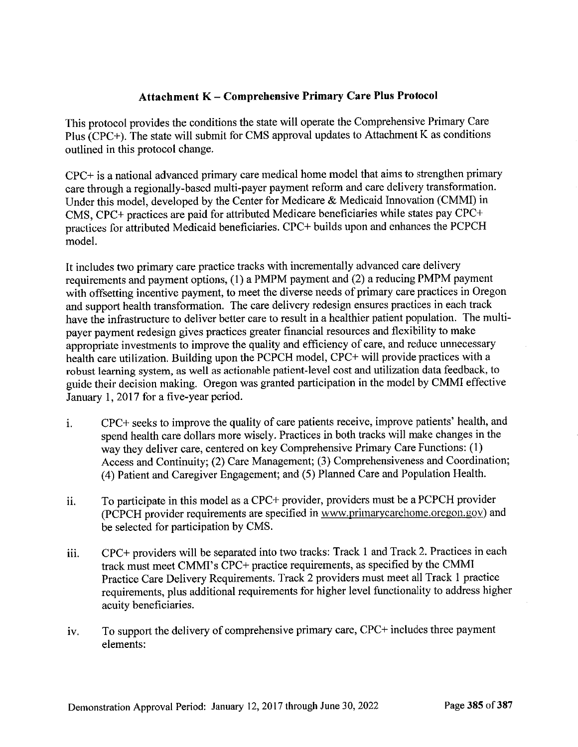## Attachmcnt K - Comprehensive Primary Care Plus Protocol

This protocol provides the conditions the state will operate the comprehensive Primary care Plus (cPC+). The state will submit for cMS approval updates to Attachment K as conditions outlined in this protocol change.

CPC+ is a national advanced primary care medical home model that aims to strengthen primary care through a regionally-based multi-payer payment refotm and care delivery transforrnation. Under this model, developed by the Center for Medicare & Medicaid Innovation (CMMI) in CMS, CPC+ practices are paid for attributed Medicare beneficiaries while states pay CPC+ practices lor attributed Medicaid beneficiaries. CPC+ builds upon and enhances the PCPCH model.

It includes two primary care practice tracks with incrementally advanced care delivery requirements and payment options, (1) a PMPM payment and (2) a reducing PMPM payment with offsetting incentive payment, to meet the diverse needs of primary care practices in Oregon and support health transformation. The care delivery redesign ensures practices in each track have the infrastructure to deliver better care to result in a healthier patient population. The multipayer payment redesign gives practices greater financial resources and flexibility to make appropriate investments to improve the quality and efficiency of care, and reduce unnecessary health care utilization. Buitding upon the PCPCH model, cPC+ will provide practices with <sup>a</sup> robust learning system, as well as actionable patient-level cost and utilization data feedback, to guide their decision making. Oregon was granted participation in the model by CMMI effective January <sup>1</sup>, 2017 îor a five-year period.

- i. CPC+ seeks to improve the quality of care patients receive, improve patients' health, and spend health care dollars more wisely. Practices in both tracks will make changes in the way they deliver care, centered on key Comprehensive Primary Care Functions: (1) Access and Continuity; (2) Care Management; (3) Comprehensiveness and Coordination; (4) Patient and Caregiver Engagement; and (5) Planned Care and Population Health'
- To participate in this model as a CPC+ provider, providers must be a PCPCH provider (PCPCH provider requirements are specified in www.primarycarehome.orcgon.gov) and be selected for participation by CMS. lt.
- CPC+ providers will be separated into two tracks: Track 1 and Track 2. Practices in each track must meet CMMI's CPC+ practice requirements, as specified by the CMMI Practice Care Delivery Requirements. Track 2 providers must meet all Track 1 practice requirements, plus additional requirements for higher level functionality to address higher acuity beneficiaries. iii.
- To support the delivery of comprehensive primary care, CPC+ includes three payment elements: iv.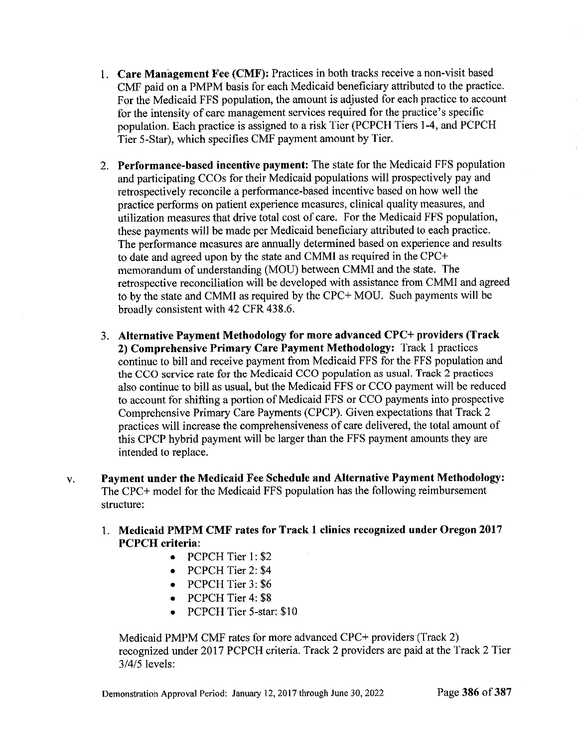- Care Manâgement Fee (CMF): Practices in both tracks receive a non-visit based CMF paid on a PMPM basis for each Medicaid beneficiary attributed to the practice. For the Medicaid FFS population, the amount is adjusted for each practice to account for the intensity of care management services required for the practice's specific population. Each practice is assigned to a risk Tier (PCPCH Tiers 1-4, and PCPCH Tier 5-Star), which specifies CMF payment amount by Tier.
- 2. Performance-based incentive payment: The state for the Medicaid FFS population and participating CCOs for their Medicaid populations will prospectively pay and retrospectively reconcile a performance-based incentive based on how well the practice performs on patient experience measures, clinical quality measures, and utilization measures that drive total cost of care. For the Medicaid FFS population, these payments will be made per Medicaid beneficiary attributed to each practice. The performance measures are annually determined based on experience and results to date and agreed upon by the state and CMMI as required in the CPC+ memorandum of understanding (MOU) between CMMI and the state. The retrospective reconciliation will be developed with assistance from CMMI and agreed to by the state and CMMI as required by the CPC+ MOU. Such payments will be broadly consistent with 42 CFR 438.6.
- 3. Alternative Payment Methodology for more advanced CPC+ providers (Track 2) Comprehensive Primary Care Payment Methodology: Track 1 practices continue to bill and receive payment from Medicaid FFS for the FFS population and the CCO service rate for the Medicaid CCO population as usual. Track 2 practices also continue to bill as usual, but the Medicaid FFS or CCO payment will be reduced to account for shifting a portion of Medicaid FFS or CCO payments into prospective Comprehensive Primary Care Payments (CPCP). Given expectations that Track <sup>2</sup> practices will increase the comprehensiveness of care delivered, the total amount of this CPCP hybrid payment will be larger than the FFS payment amounts they are intended to replace.
- Payment under the Medicaid Fee Schedule and Alternative Payment Methodology: V. The CPC+ model for the Medicaid FFS population has the following reimbursement structure:
	- 1. Medicaid PMPM CMF rates for Track 1 clinics recognized under Oregon 2017 PCPCH criteria:
		- PCPCH Tier 1: \$2
		- PCPCH Tier 2: \$4
		- o PCPCH Tier 3: \$6
		- PCPCH Tier 4: \$8
		- PCPCH Tier 5-star: \$10

Medicaid PMPM CMF rates for more advanced CPC+ providers (Track 2) recognized under 2017 PCPCH criteria. Track 2 providers are paid at the Track 2 Tier  $3/4/5$  levels: